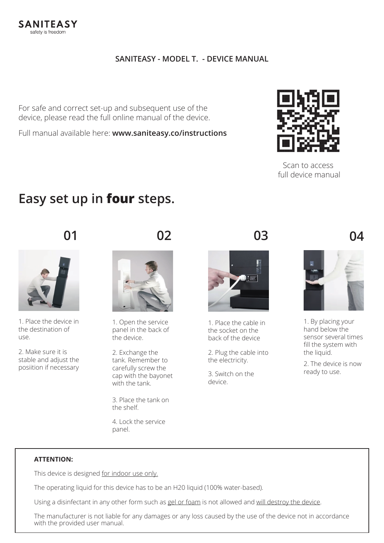### **SANITEASY - MODEL T. - DEVICE MANUAL**

For safe and correct set-up and subsequent use of the device, please read the full online manual of the device.

Full manual available here: **www.saniteasy.co/instructions**



Scan to access full device manual

## **Easy set up in four steps.**



1. Place the device in the destination of use.

2. Make sure it is stable and adjust the posiition if necessary





1. Open the service panel in the back of the device.

2. Exchange the tank. Remember to carefully screw the cap with the bayonet with the tank.

3. Place the tank on the shelf.

4. Lock the service panel.



1. Place the cable in the socket on the back of the device

2. Plug the cable into the electricity.

3. Switch on the device.



1. By placing your hand below the sensor several times fill the system with the liquid.

2. The device is now ready to use.

#### **ATTENTION:**

This device is designed for indoor use only.

The operating liquid for this device has to be an H20 liquid (100% water-based).

Using a disinfectant in any other form such as gel or foam is not allowed and will destroy the device.

The manufacturer is not liable for any damages or any loss caused by the use of the device not in accordance with the provided user manual.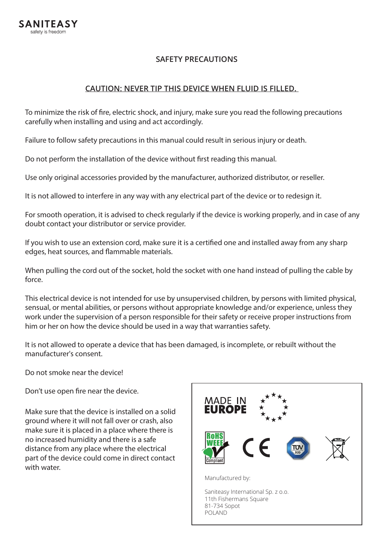### **SAFETY PRECAUTIONS**

#### **CAUTION: NEVER TIP THIS DEVICE WHEN FLUID IS FILLED.**

To minimize the risk of fire, electric shock, and injury, make sure you read the following precautions carefully when installing and using and act accordingly.

Failure to follow safety precautions in this manual could result in serious injury or death.

Do not perform the installation of the device without first reading this manual.

Use only original accessories provided by the manufacturer, authorized distributor, or reseller.

It is not allowed to interfere in any way with any electrical part of the device or to redesign it.

For smooth operation, it is advised to check regularly if the device is working properly, and in case of any doubt contact your distributor or service provider.

If you wish to use an extension cord, make sure it is a certified one and installed away from any sharp edges, heat sources, and flammable materials.

When pulling the cord out of the socket, hold the socket with one hand instead of pulling the cable by force.

This electrical device is not intended for use by unsupervised children, by persons with limited physical, sensual, or mental abilities, or persons without appropriate knowledge and/or experience, unless they work under the supervision of a person responsible for their safety or receive proper instructions from him or her on how the device should be used in a way that warranties safety.

It is not allowed to operate a device that has been damaged, is incomplete, or rebuilt without the manufacturer's consent.

Do not smoke near the device!

Don't use open fire near the device.

Make sure that the device is installed on a solid ground where it will not fall over or crash, also make sure it is placed in a place where there is no increased humidity and there is a safe distance from any place where the electrical part of the device could come in direct contact with water.